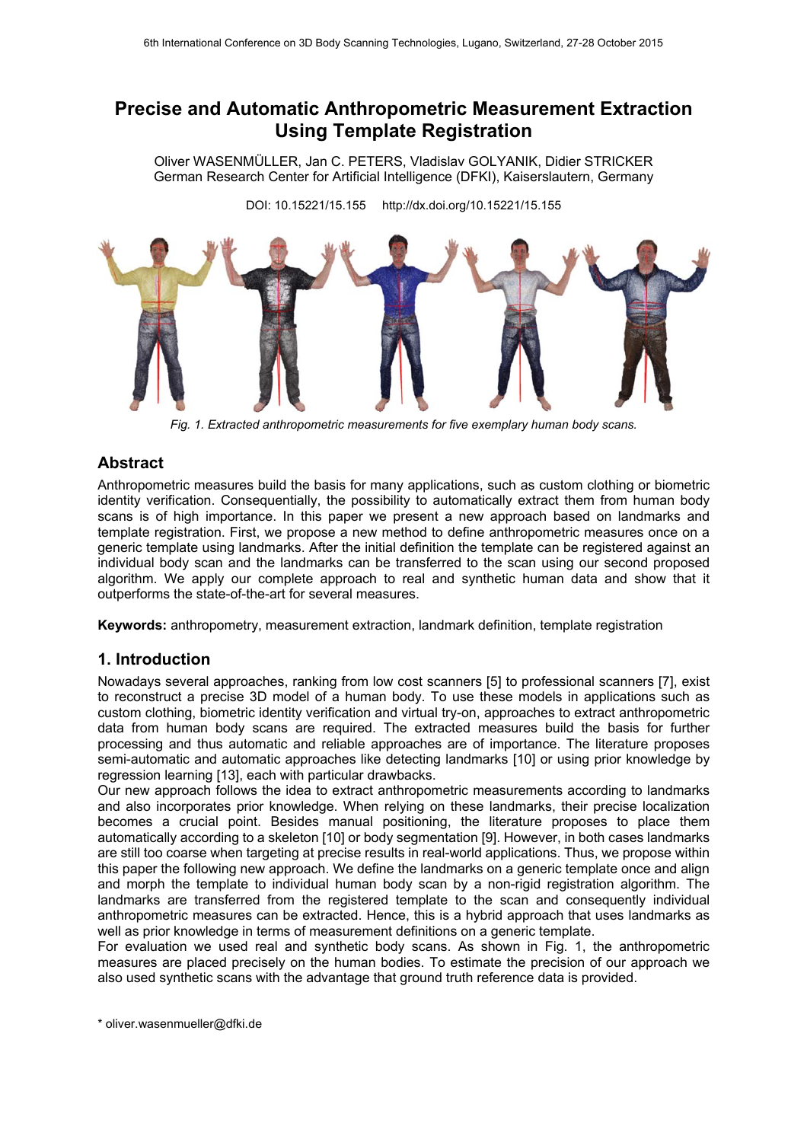# **Precise and Automatic Anthropometric Measurement Extraction Using Template Registration**

Oliver WASENMÜLLER, Jan C. PETERS, Vladislav GOLYANIK, Didier STRICKER German Research Center for Artificial Intelligence (DFKI), Kaiserslautern, Germany

DOI: 10.15221/15.155 http://dx.doi.org/10.15221/15.155



*Fig. 1. Extracted anthropometric measurements for five exemplary human body scans.* 

## **Abstract**

Anthropometric measures build the basis for many applications, such as custom clothing or biometric identity verification. Consequentially, the possibility to automatically extract them from human body scans is of high importance. In this paper we present a new approach based on landmarks and template registration. First, we propose a new method to define anthropometric measures once on a generic template using landmarks. After the initial definition the template can be registered against an individual body scan and the landmarks can be transferred to the scan using our second proposed algorithm. We apply our complete approach to real and synthetic human data and show that it outperforms the state-of-the-art for several measures.

**Keywords:** anthropometry, measurement extraction, landmark definition, template registration

### **1. Introduction**

Nowadays several approaches, ranking from low cost scanners [5] to professional scanners [7], exist to reconstruct a precise 3D model of a human body. To use these models in applications such as custom clothing, biometric identity verification and virtual try-on, approaches to extract anthropometric data from human body scans are required. The extracted measures build the basis for further processing and thus automatic and reliable approaches are of importance. The literature proposes semi-automatic and automatic approaches like detecting landmarks [10] or using prior knowledge by regression learning [13], each with particular drawbacks.

Our new approach follows the idea to extract anthropometric measurements according to landmarks and also incorporates prior knowledge. When relying on these landmarks, their precise localization becomes a crucial point. Besides manual positioning, the literature proposes to place them automatically according to a skeleton [10] or body segmentation [9]. However, in both cases landmarks are still too coarse when targeting at precise results in real-world applications. Thus, we propose within this paper the following new approach. We define the landmarks on a generic template once and align and morph the template to individual human body scan by a non-rigid registration algorithm. The landmarks are transferred from the registered template to the scan and consequently individual anthropometric measures can be extracted. Hence, this is a hybrid approach that uses landmarks as well as prior knowledge in terms of measurement definitions on a generic template.

For evaluation we used real and synthetic body scans. As shown in Fig. 1, the anthropometric measures are placed precisely on the human bodies. To estimate the precision of our approach we also used synthetic scans with the advantage that ground truth reference data is provided.

\* oliver.wasenmueller@dfki.de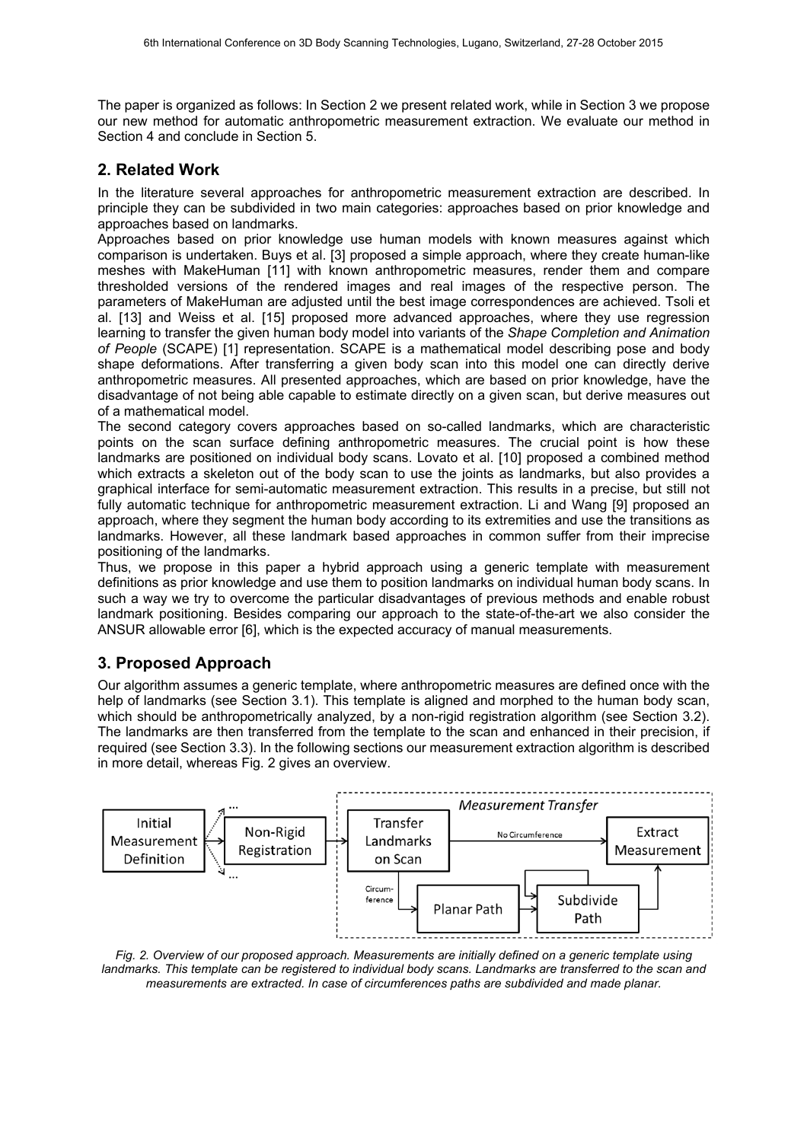The paper is organized as follows: In Section 2 we present related work, while in Section 3 we propose our new method for automatic anthropometric measurement extraction. We evaluate our method in Section 4 and conclude in Section 5.

### **2. Related Work**

In the literature several approaches for anthropometric measurement extraction are described. In principle they can be subdivided in two main categories: approaches based on prior knowledge and approaches based on landmarks.

Approaches based on prior knowledge use human models with known measures against which comparison is undertaken. Buys et al. [3] proposed a simple approach, where they create human-like meshes with MakeHuman [11] with known anthropometric measures, render them and compare thresholded versions of the rendered images and real images of the respective person. The parameters of MakeHuman are adjusted until the best image correspondences are achieved. Tsoli et al. [13] and Weiss et al. [15] proposed more advanced approaches, where they use regression learning to transfer the given human body model into variants of the *Shape Completion and Animation of People* (SCAPE) [1] representation. SCAPE is a mathematical model describing pose and body shape deformations. After transferring a given body scan into this model one can directly derive anthropometric measures. All presented approaches, which are based on prior knowledge, have the disadvantage of not being able capable to estimate directly on a given scan, but derive measures out of a mathematical model.

The second category covers approaches based on so-called landmarks, which are characteristic points on the scan surface defining anthropometric measures. The crucial point is how these landmarks are positioned on individual body scans. Lovato et al. [10] proposed a combined method which extracts a skeleton out of the body scan to use the joints as landmarks, but also provides a graphical interface for semi-automatic measurement extraction. This results in a precise, but still not fully automatic technique for anthropometric measurement extraction. Li and Wang [9] proposed an approach, where they segment the human body according to its extremities and use the transitions as landmarks. However, all these landmark based approaches in common suffer from their imprecise positioning of the landmarks.

Thus, we propose in this paper a hybrid approach using a generic template with measurement definitions as prior knowledge and use them to position landmarks on individual human body scans. In such a way we try to overcome the particular disadvantages of previous methods and enable robust landmark positioning. Besides comparing our approach to the state-of-the-art we also consider the ANSUR allowable error [6], which is the expected accuracy of manual measurements.

# **3. Proposed Approach**

Our algorithm assumes a generic template, where anthropometric measures are defined once with the help of landmarks (see Section 3.1). This template is aligned and morphed to the human body scan, which should be anthropometrically analyzed, by a non-rigid registration algorithm (see Section 3.2). The landmarks are then transferred from the template to the scan and enhanced in their precision, if required (see Section 3.3). In the following sections our measurement extraction algorithm is described in more detail, whereas Fig. 2 gives an overview.



*Fig. 2. Overview of our proposed approach. Measurements are initially defined on a generic template using*  landmarks. This template can be registered to individual body scans. Landmarks are transferred to the scan and *measurements are extracted. In case of circumferences paths are subdivided and made planar.*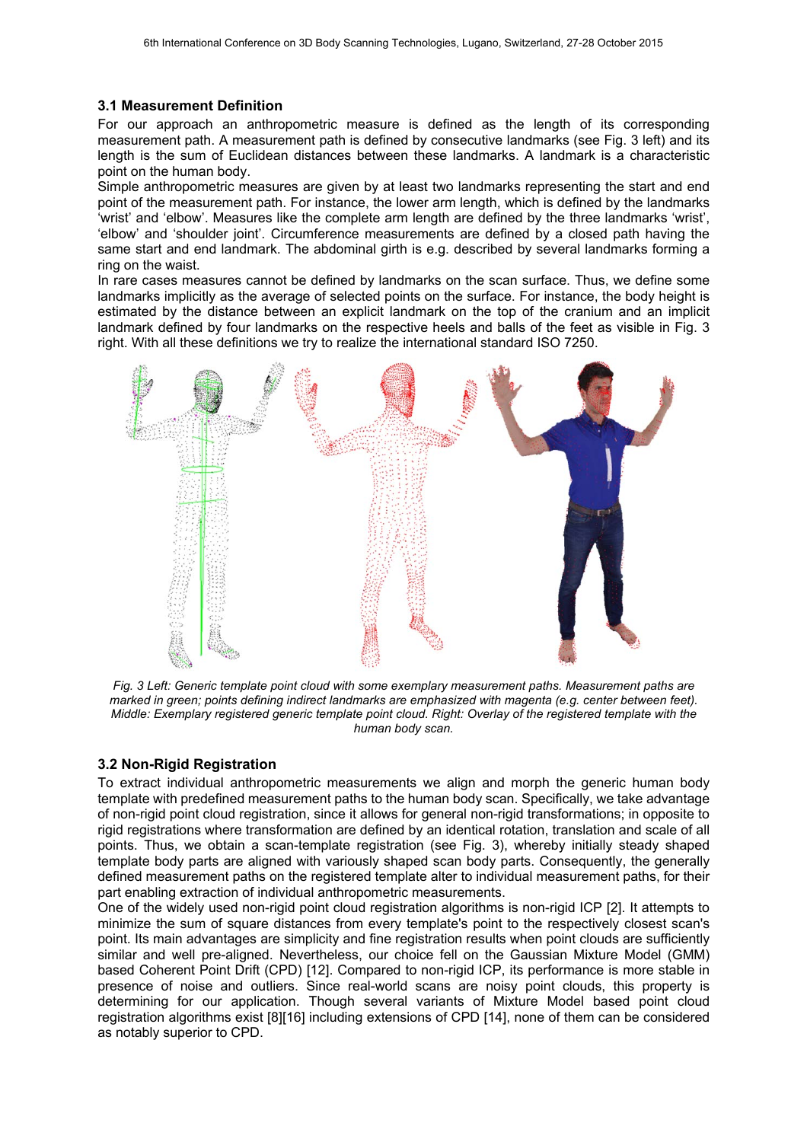#### **3.1 Measurement Definition**

For our approach an anthropometric measure is defined as the length of its corresponding measurement path. A measurement path is defined by consecutive landmarks (see Fig. 3 left) and its length is the sum of Euclidean distances between these landmarks. A landmark is a characteristic point on the human body.

Simple anthropometric measures are given by at least two landmarks representing the start and end point of the measurement path. For instance, the lower arm length, which is defined by the landmarks 'wrist' and 'elbow'. Measures like the complete arm length are defined by the three landmarks 'wrist', 'elbow' and 'shoulder joint'. Circumference measurements are defined by a closed path having the same start and end landmark. The abdominal girth is e.g. described by several landmarks forming a ring on the waist.

In rare cases measures cannot be defined by landmarks on the scan surface. Thus, we define some landmarks implicitly as the average of selected points on the surface. For instance, the body height is estimated by the distance between an explicit landmark on the top of the cranium and an implicit landmark defined by four landmarks on the respective heels and balls of the feet as visible in Fig. 3 right. With all these definitions we try to realize the international standard ISO 7250.



*Fig. 3 Left: Generic template point cloud with some exemplary measurement paths. Measurement paths are marked in green; points defining indirect landmarks are emphasized with magenta (e.g. center between feet). Middle: Exemplary registered generic template point cloud. Right: Overlay of the registered template with the human body scan.* 

### **3.2 Non-Rigid Registration**

To extract individual anthropometric measurements we align and morph the generic human body template with predefined measurement paths to the human body scan. Specifically, we take advantage of non-rigid point cloud registration, since it allows for general non-rigid transformations; in opposite to rigid registrations where transformation are defined by an identical rotation, translation and scale of all points. Thus, we obtain a scan-template registration (see Fig. 3), whereby initially steady shaped template body parts are aligned with variously shaped scan body parts. Consequently, the generally defined measurement paths on the registered template alter to individual measurement paths, for their part enabling extraction of individual anthropometric measurements.

One of the widely used non-rigid point cloud registration algorithms is non-rigid ICP [2]. It attempts to minimize the sum of square distances from every template's point to the respectively closest scan's point. Its main advantages are simplicity and fine registration results when point clouds are sufficiently similar and well pre-aligned. Nevertheless, our choice fell on the Gaussian Mixture Model (GMM) based Coherent Point Drift (CPD) [12]. Compared to non-rigid ICP, its performance is more stable in presence of noise and outliers. Since real-world scans are noisy point clouds, this property is determining for our application. Though several variants of Mixture Model based point cloud registration algorithms exist [8][16] including extensions of CPD [14], none of them can be considered as notably superior to CPD.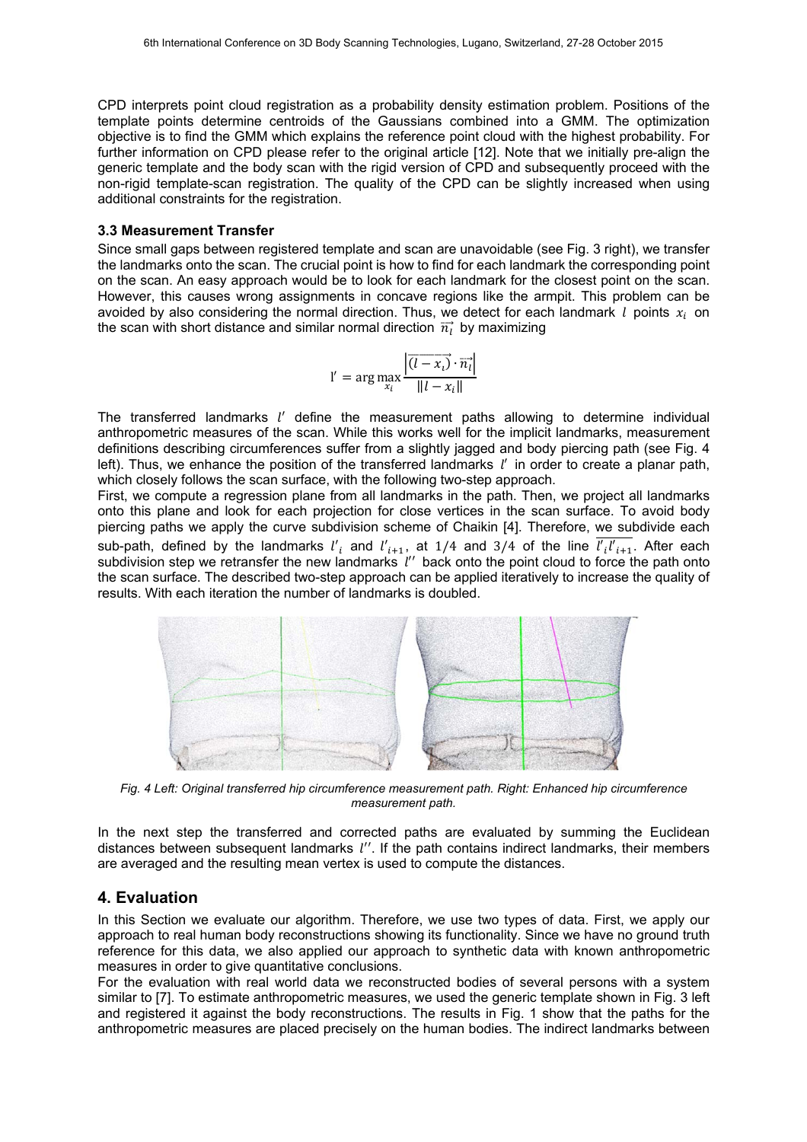CPD interprets point cloud registration as a probability density estimation problem. Positions of the template points determine centroids of the Gaussians combined into a GMM. The optimization objective is to find the GMM which explains the reference point cloud with the highest probability. For further information on CPD please refer to the original article [12]. Note that we initially pre-align the generic template and the body scan with the rigid version of CPD and subsequently proceed with the non-rigid template-scan registration. The quality of the CPD can be slightly increased when using additional constraints for the registration.

#### **3.3 Measurement Transfer**

Since small gaps between registered template and scan are unavoidable (see Fig. 3 right), we transfer the landmarks onto the scan. The crucial point is how to find for each landmark the corresponding point on the scan. An easy approach would be to look for each landmark for the closest point on the scan. However, this causes wrong assignments in concave regions like the armpit. This problem can be avoided by also considering the normal direction. Thus, we detect for each landmark  $l$  points  $x_i$  on the scan with short distance and similar normal direction  $\vec{n}$  by maximizing

$$
l' = \arg \max_{x_i} \frac{\left| \overrightarrow{(l - x_i)} \cdot \overrightarrow{n_i} \right|}{\|l - x_i\|}
$$

The transferred landmarks *l'* define the measurement paths allowing to determine individual anthropometric measures of the scan. While this works well for the implicit landmarks, measurement definitions describing circumferences suffer from a slightly jagged and body piercing path (see Fig. 4 left). Thus, we enhance the position of the transferred landmarks *l'* in order to create a planar path, which closely follows the scan surface, with the following two-step approach.

First, we compute a regression plane from all landmarks in the path. Then, we project all landmarks onto this plane and look for each projection for close vertices in the scan surface. To avoid body piercing paths we apply the curve subdivision scheme of Chaikin [4]. Therefore, we subdivide each sub-path, defined by the landmarks  $l'_{i}$  and  $l'_{i+1}$ , at 1/4 and 3/4 of the line  $l'_{i}l'_{i+1}$ . After each subdivision step we retransfer the new landmarks *l''* back onto the point cloud to force the path onto the scan surface. The described two-step approach can be applied iteratively to increase the quality of results. With each iteration the number of landmarks is doubled.



*Fig. 4 Left: Original transferred hip circumference measurement path. Right: Enhanced hip circumference measurement path.* 

In the next step the transferred and corrected paths are evaluated by summing the Euclidean distances between subsequent landmarks *l''*. If the path contains indirect landmarks, their members are averaged and the resulting mean vertex is used to compute the distances.

#### **4. Evaluation**

In this Section we evaluate our algorithm. Therefore, we use two types of data. First, we apply our approach to real human body reconstructions showing its functionality. Since we have no ground truth reference for this data, we also applied our approach to synthetic data with known anthropometric measures in order to give quantitative conclusions.

For the evaluation with real world data we reconstructed bodies of several persons with a system similar to [7]. To estimate anthropometric measures, we used the generic template shown in Fig. 3 left and registered it against the body reconstructions. The results in Fig. 1 show that the paths for the anthropometric measures are placed precisely on the human bodies. The indirect landmarks between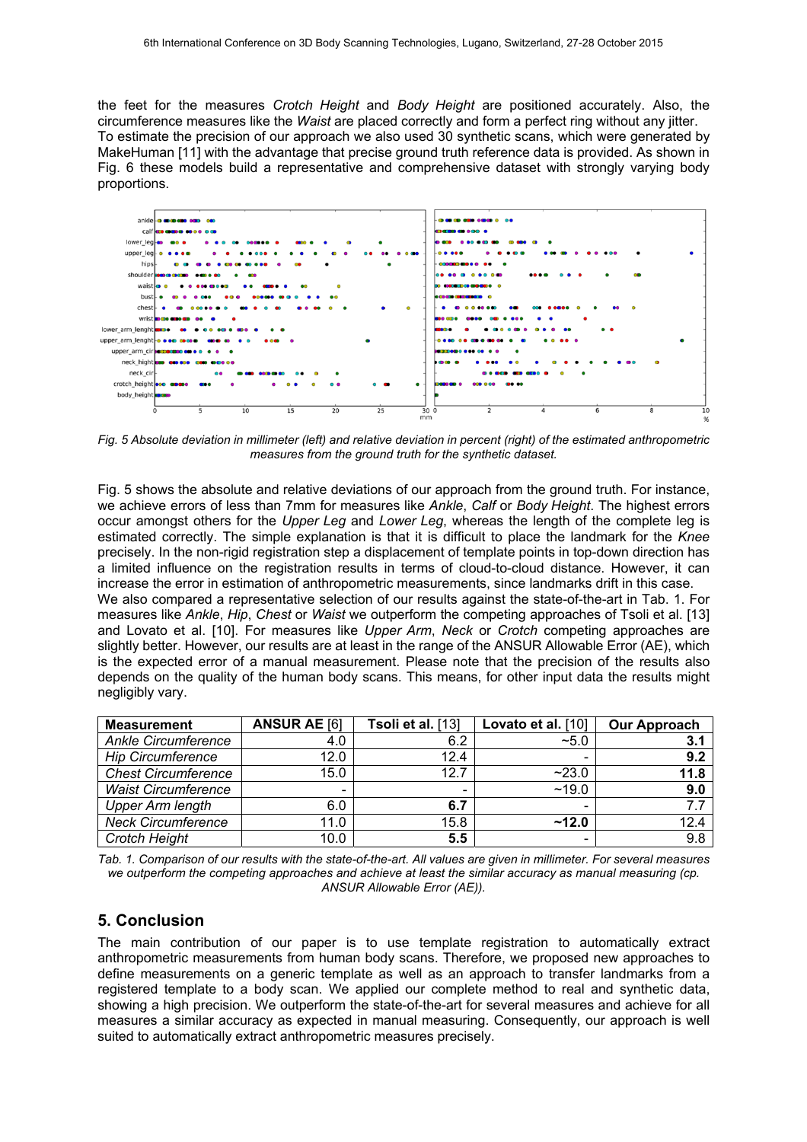the feet for the measures *Crotch Height* and *Body Height* are positioned accurately. Also, the circumference measures like the *Waist* are placed correctly and form a perfect ring without any jitter. To estimate the precision of our approach we also used 30 synthetic scans, which were generated by MakeHuman [11] with the advantage that precise ground truth reference data is provided. As shown in Fig. 6 these models build a representative and comprehensive dataset with strongly varying body proportions.



*Fig. 5 Absolute deviation in millimeter (left) and relative deviation in percent (right) of the estimated anthropometric measures from the ground truth for the synthetic dataset.* 

Fig. 5 shows the absolute and relative deviations of our approach from the ground truth. For instance, we achieve errors of less than 7mm for measures like *Ankle*, *Calf* or *Body Height*. The highest errors occur amongst others for the *Upper Leg* and *Lower Leg*, whereas the length of the complete leg is estimated correctly. The simple explanation is that it is difficult to place the landmark for the *Knee* precisely. In the non-rigid registration step a displacement of template points in top-down direction has a limited influence on the registration results in terms of cloud-to-cloud distance. However, it can increase the error in estimation of anthropometric measurements, since landmarks drift in this case. We also compared a representative selection of our results against the state-of-the-art in Tab. 1. For measures like *Ankle*, *Hip*, *Chest* or *Waist* we outperform the competing approaches of Tsoli et al. [13] and Lovato et al. [10]. For measures like *Upper Arm*, *Neck* or *Crotch* competing approaches are slightly better. However, our results are at least in the range of the ANSUR Allowable Error (AE), which is the expected error of a manual measurement. Please note that the precision of the results also depends on the quality of the human body scans. This means, for other input data the results might negligibly vary.

| <b>Measurement</b>         | <b>ANSUR AE [6]</b> | Tsoli et al. [13] | Lovato et al. [10] | <b>Our Approach</b> |
|----------------------------|---------------------|-------------------|--------------------|---------------------|
| <b>Ankle Circumference</b> | 4.0                 | 6.2               | $~10^{-5}$         | 3.1                 |
| <b>Hip Circumference</b>   | 12.0                | 12.4              |                    | 9.2                 |
| <b>Chest Circumference</b> | 15.0                | 12.7              | ~23.0              | 11.8                |
| <b>Waist Circumference</b> |                     | $\qquad \qquad$   | ~19.0              | 9.0                 |
| <b>Upper Arm length</b>    | 6.0                 | 6.7               |                    |                     |
| <b>Neck Circumference</b>  | 11.0                | 15.8              | ~12.0              | 12.4                |
| Crotch Height              | 10.0                | 5.5               |                    | 9.8                 |

*Tab. 1. Comparison of our results with the state-of-the-art. All values are given in millimeter. For several measures we outperform the competing approaches and achieve at least the similar accuracy as manual measuring (cp. ANSUR Allowable Error (AE)).* 

### **5. Conclusion**

The main contribution of our paper is to use template registration to automatically extract anthropometric measurements from human body scans. Therefore, we proposed new approaches to define measurements on a generic template as well as an approach to transfer landmarks from a registered template to a body scan. We applied our complete method to real and synthetic data, showing a high precision. We outperform the state-of-the-art for several measures and achieve for all measures a similar accuracy as expected in manual measuring. Consequently, our approach is well suited to automatically extract anthropometric measures precisely.